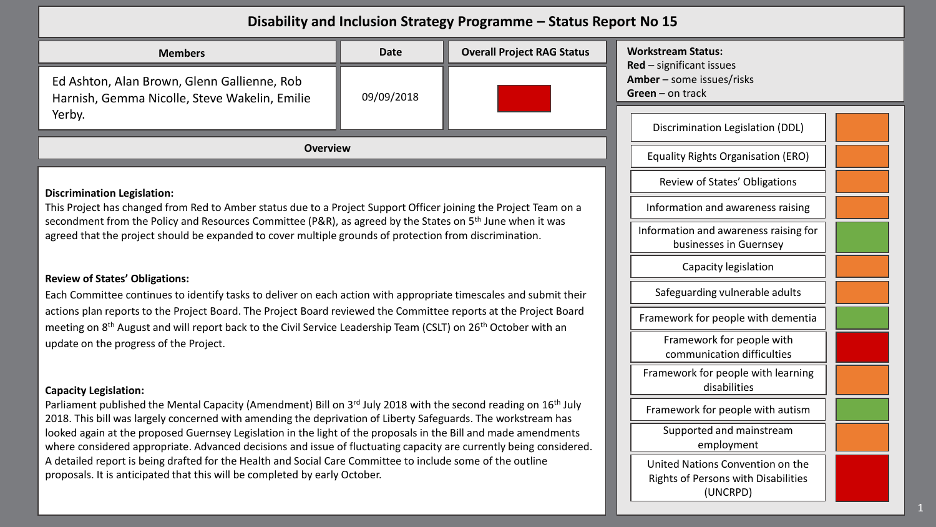# **Disability and Inclusion Strategy Programme – Status Report No 15**

| <b>Members</b>                                                                                         | <b>Date</b> | <b>Overall Project RAG Status</b> | <b>Workstream S</b><br>$Red$ – significa        |  |
|--------------------------------------------------------------------------------------------------------|-------------|-----------------------------------|-------------------------------------------------|--|
| Ed Ashton, Alan Brown, Glenn Gallienne, Rob<br>Harnish, Gemma Nicolle, Steve Wakelin, Emilie<br>Yerby. | 09/09/2018  |                                   | Amber $-$ some<br>$Green - on tra$<br>Discrimin |  |
| <b>Overview</b>                                                                                        |             |                                   |                                                 |  |

### **Discrimination Legislation:**

This Project has changed from Red to Amber status due to a Project Support Officer joining the Project Team on a secondment from the Policy and Resources Committee (P&R), as agreed by the States on 5<sup>th</sup> June when it was agreed that the project should be expanded to cover multiple grounds of protection from discrimination.

## **Review of States' Obligations:**

Each Committee continues to identify tasks to deliver on each action with appropriate timescales and submit their actions plan reports to the Project Board. The Project Board reviewed the Committee reports at the Project Board meeting on 8<sup>th</sup> August and will report back to the Civil Service Leadership Team (CSLT) on 26<sup>th</sup> October with an update on the progress of the Project.

### **Capacity Legislation:**

Parliament published the Mental Capacity (Amendment) Bill on 3<sup>rd</sup> July 2018 with the second reading on 16<sup>th</sup> July 2018. This bill was largely concerned with amending the deprivation of Liberty Safeguards. The workstream has looked again at the proposed Guernsey Legislation in the light of the proposals in the Bill and made amendments where considered appropriate. Advanced decisions and issue of fluctuating capacity are currently being considered. A detailed report is being drafted for the Health and Social Care Committee to include some of the outline proposals. It is anticipated that this will be completed by early October.

| <b>Workstream Status:</b><br>Red - significant issues<br>Amber - some issues/risks<br>Green - on track |  |  |  |
|--------------------------------------------------------------------------------------------------------|--|--|--|
|                                                                                                        |  |  |  |
| Discrimination Legislation (DDL)                                                                       |  |  |  |
| <b>Equality Rights Organisation (ERO)</b>                                                              |  |  |  |
| Review of States' Obligations                                                                          |  |  |  |
| Information and awareness raising                                                                      |  |  |  |
| Information and awareness raising for<br>businesses in Guernsey                                        |  |  |  |
| Capacity legislation                                                                                   |  |  |  |
| Safeguarding vulnerable adults                                                                         |  |  |  |
| Framework for people with dementia                                                                     |  |  |  |
| Framework for people with<br>communication difficulties                                                |  |  |  |
| Framework for people with learning<br>disabilities                                                     |  |  |  |
| Framework for people with autism                                                                       |  |  |  |
| Supported and mainstream<br>employment                                                                 |  |  |  |
| United Nations Convention on the<br><b>Rights of Persons with Disabilities</b><br>(UNCRPD)             |  |  |  |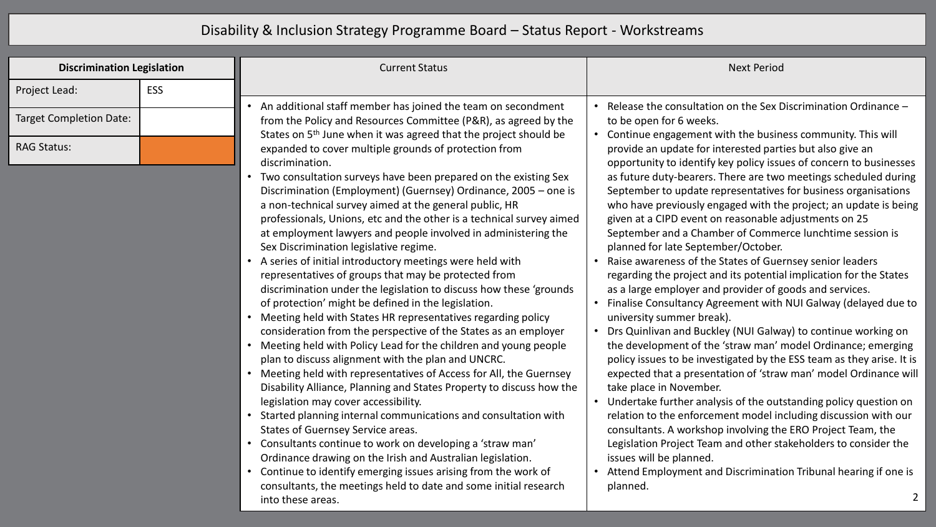# Disability & Inclusion Strategy Programme Board – Status Report - Workstreams

| <b>Discrimination Legislation</b> |            | <b>Current Status</b>                                                                                                                                                                                                                                                                                                                                                                                                                                                                                                                                                                                                                                                                                                                                                                                                                                                                                                                                                                                                                                           | <b>Next Period</b>                                                                                                                                                                                                                                                                                                                                                                                                                                                                                                                                                                                                                                                                                                                                                                                                                                                                                                                                                                                                                                                       |
|-----------------------------------|------------|-----------------------------------------------------------------------------------------------------------------------------------------------------------------------------------------------------------------------------------------------------------------------------------------------------------------------------------------------------------------------------------------------------------------------------------------------------------------------------------------------------------------------------------------------------------------------------------------------------------------------------------------------------------------------------------------------------------------------------------------------------------------------------------------------------------------------------------------------------------------------------------------------------------------------------------------------------------------------------------------------------------------------------------------------------------------|--------------------------------------------------------------------------------------------------------------------------------------------------------------------------------------------------------------------------------------------------------------------------------------------------------------------------------------------------------------------------------------------------------------------------------------------------------------------------------------------------------------------------------------------------------------------------------------------------------------------------------------------------------------------------------------------------------------------------------------------------------------------------------------------------------------------------------------------------------------------------------------------------------------------------------------------------------------------------------------------------------------------------------------------------------------------------|
| Project Lead:                     | <b>ESS</b> |                                                                                                                                                                                                                                                                                                                                                                                                                                                                                                                                                                                                                                                                                                                                                                                                                                                                                                                                                                                                                                                                 |                                                                                                                                                                                                                                                                                                                                                                                                                                                                                                                                                                                                                                                                                                                                                                                                                                                                                                                                                                                                                                                                          |
| <b>Target Completion Date:</b>    |            | An additional staff member has joined the team on secondment<br>from the Policy and Resources Committee (P&R), as agreed by the                                                                                                                                                                                                                                                                                                                                                                                                                                                                                                                                                                                                                                                                                                                                                                                                                                                                                                                                 | • Release the consultation on the Sex Discrimination Ordinance -<br>to be open for 6 weeks.                                                                                                                                                                                                                                                                                                                                                                                                                                                                                                                                                                                                                                                                                                                                                                                                                                                                                                                                                                              |
| <b>RAG Status:</b>                |            | States on 5 <sup>th</sup> June when it was agreed that the project should be<br>expanded to cover multiple grounds of protection from<br>discrimination.<br>Two consultation surveys have been prepared on the existing Sex<br>Discrimination (Employment) (Guernsey) Ordinance, 2005 - one is<br>a non-technical survey aimed at the general public, HR<br>professionals, Unions, etc and the other is a technical survey aimed<br>at employment lawyers and people involved in administering the<br>Sex Discrimination legislative regime.<br>• A series of initial introductory meetings were held with<br>representatives of groups that may be protected from<br>discrimination under the legislation to discuss how these 'grounds<br>of protection' might be defined in the legislation.<br>• Meeting held with States HR representatives regarding policy<br>consideration from the perspective of the States as an employer<br>• Meeting held with Policy Lead for the children and young people<br>plan to discuss alignment with the plan and UNCRC. | Continue engagement with the business community. This will<br>provide an update for interested parties but also give an<br>opportunity to identify key policy issues of concern to businesses<br>as future duty-bearers. There are two meetings scheduled during<br>September to update representatives for business organisations<br>who have previously engaged with the project; an update is being<br>given at a CIPD event on reasonable adjustments on 25<br>September and a Chamber of Commerce lunchtime session is<br>planned for late September/October.<br>Raise awareness of the States of Guernsey senior leaders<br>regarding the project and its potential implication for the States<br>as a large employer and provider of goods and services.<br>Finalise Consultancy Agreement with NUI Galway (delayed due to<br>university summer break).<br>Drs Quinlivan and Buckley (NUI Galway) to continue working on<br>the development of the 'straw man' model Ordinance; emerging<br>policy issues to be investigated by the ESS team as they arise. It is |
|                                   |            | • Meeting held with representatives of Access for All, the Guernsey<br>Disability Alliance, Planning and States Property to discuss how the<br>legislation may cover accessibility.<br>Started planning internal communications and consultation with<br>States of Guernsey Service areas.<br>• Consultants continue to work on developing a 'straw man'<br>Ordinance drawing on the Irish and Australian legislation.<br>• Continue to identify emerging issues arising from the work of<br>consultants, the meetings held to date and some initial research<br>into these areas.                                                                                                                                                                                                                                                                                                                                                                                                                                                                              | expected that a presentation of 'straw man' model Ordinance will<br>take place in November.<br>• Undertake further analysis of the outstanding policy question on<br>relation to the enforcement model including discussion with our<br>consultants. A workshop involving the ERO Project Team, the<br>Legislation Project Team and other stakeholders to consider the<br>issues will be planned.<br>Attend Employment and Discrimination Tribunal hearing if one is<br>planned.                                                                                                                                                                                                                                                                                                                                                                                                                                                                                                                                                                                         |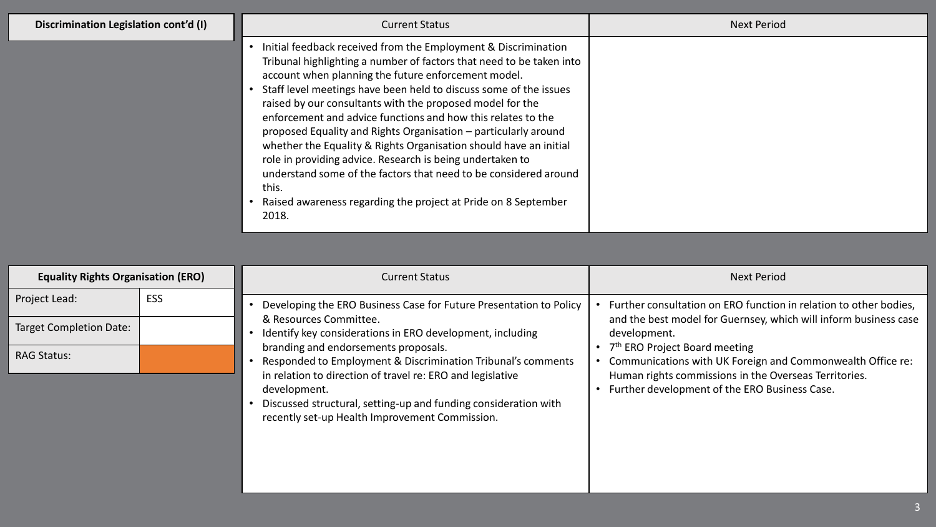| Discrimination Legislation cont'd (I) | <b>Current Status</b>                                                                                                                                                                                                                                                                                                                                                                                                                                                                                                                                                                                                                                                                                                                                        | <b>Next Period</b> |
|---------------------------------------|--------------------------------------------------------------------------------------------------------------------------------------------------------------------------------------------------------------------------------------------------------------------------------------------------------------------------------------------------------------------------------------------------------------------------------------------------------------------------------------------------------------------------------------------------------------------------------------------------------------------------------------------------------------------------------------------------------------------------------------------------------------|--------------------|
|                                       | Initial feedback received from the Employment & Discrimination<br>Tribunal highlighting a number of factors that need to be taken into<br>account when planning the future enforcement model.<br>Staff level meetings have been held to discuss some of the issues<br>raised by our consultants with the proposed model for the<br>enforcement and advice functions and how this relates to the<br>proposed Equality and Rights Organisation - particularly around<br>whether the Equality & Rights Organisation should have an initial<br>role in providing advice. Research is being undertaken to<br>understand some of the factors that need to be considered around<br>this.<br>Raised awareness regarding the project at Pride on 8 September<br>2018. |                    |

| <b>Equality Rights Organisation (ERO)</b> |     | <b>Current Status</b>                                                                                                                                                                           | <b>Next Period</b>                                                                                      |
|-------------------------------------------|-----|-------------------------------------------------------------------------------------------------------------------------------------------------------------------------------------------------|---------------------------------------------------------------------------------------------------------|
| Project Lead:                             | ESS | Developing the ERO Business Case for Future Presentation to Policy                                                                                                                              | Further consultation on ERO function in relation to other bodies,                                       |
| <b>Target Completion Date:</b>            |     | & Resources Committee.<br>Identify key considerations in ERO development, including                                                                                                             | and the best model for Guernsey, which will inform business case<br>development.                        |
| <b>RAG Status:</b>                        |     | branding and endorsements proposals.<br>Responded to Employment & Discrimination Tribunal's comments                                                                                            | 7 <sup>th</sup> ERO Project Board meeting<br>Communications with UK Foreign and Commonwealth Office re: |
|                                           |     | in relation to direction of travel re: ERO and legislative<br>development.<br>Discussed structural, setting-up and funding consideration with<br>recently set-up Health Improvement Commission. | Human rights commissions in the Overseas Territories.<br>Further development of the ERO Business Case.  |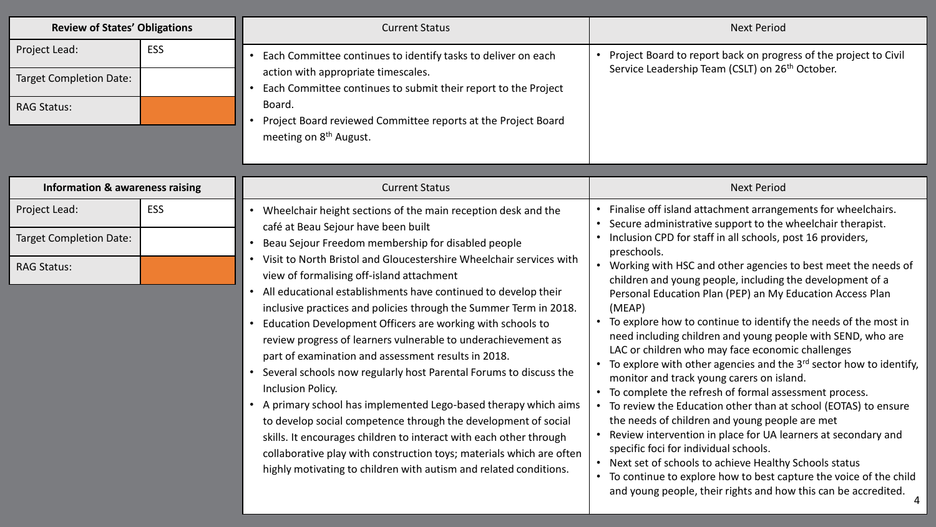| <b>Review of States' Obligations</b>                                  |            | <b>Current Status</b>                                                                                                                                                                                                                                                                                                                                                                                                                                                                                                                                                                                                                                                                                                                                                                                                                                                                                                                                                                                                                                        | <b>Next Period</b>                                                                                                                                                                                                                                                                                                                                                                                                                                                                                                                                                                                                                                                                                                                                                                                                                                                                                                                                                                                                                                                                                                                                                                                                                           |
|-----------------------------------------------------------------------|------------|--------------------------------------------------------------------------------------------------------------------------------------------------------------------------------------------------------------------------------------------------------------------------------------------------------------------------------------------------------------------------------------------------------------------------------------------------------------------------------------------------------------------------------------------------------------------------------------------------------------------------------------------------------------------------------------------------------------------------------------------------------------------------------------------------------------------------------------------------------------------------------------------------------------------------------------------------------------------------------------------------------------------------------------------------------------|----------------------------------------------------------------------------------------------------------------------------------------------------------------------------------------------------------------------------------------------------------------------------------------------------------------------------------------------------------------------------------------------------------------------------------------------------------------------------------------------------------------------------------------------------------------------------------------------------------------------------------------------------------------------------------------------------------------------------------------------------------------------------------------------------------------------------------------------------------------------------------------------------------------------------------------------------------------------------------------------------------------------------------------------------------------------------------------------------------------------------------------------------------------------------------------------------------------------------------------------|
| Project Lead:<br><b>Target Completion Date:</b><br><b>RAG Status:</b> | <b>ESS</b> | Each Committee continues to identify tasks to deliver on each<br>action with appropriate timescales.<br>Each Committee continues to submit their report to the Project<br>Board.<br>Project Board reviewed Committee reports at the Project Board<br>meeting on 8 <sup>th</sup> August.                                                                                                                                                                                                                                                                                                                                                                                                                                                                                                                                                                                                                                                                                                                                                                      | • Project Board to report back on progress of the project to Civil<br>Service Leadership Team (CSLT) on 26 <sup>th</sup> October.                                                                                                                                                                                                                                                                                                                                                                                                                                                                                                                                                                                                                                                                                                                                                                                                                                                                                                                                                                                                                                                                                                            |
| <b>Information &amp; awareness raising</b>                            |            | <b>Current Status</b>                                                                                                                                                                                                                                                                                                                                                                                                                                                                                                                                                                                                                                                                                                                                                                                                                                                                                                                                                                                                                                        | <b>Next Period</b>                                                                                                                                                                                                                                                                                                                                                                                                                                                                                                                                                                                                                                                                                                                                                                                                                                                                                                                                                                                                                                                                                                                                                                                                                           |
| Project Lead:<br><b>Target Completion Date:</b><br><b>RAG Status:</b> | ESS        | Wheelchair height sections of the main reception desk and the<br>café at Beau Sejour have been built<br>Beau Sejour Freedom membership for disabled people<br>Visit to North Bristol and Gloucestershire Wheelchair services with<br>view of formalising off-island attachment<br>All educational establishments have continued to develop their<br>inclusive practices and policies through the Summer Term in 2018.<br>Education Development Officers are working with schools to<br>review progress of learners vulnerable to underachievement as<br>part of examination and assessment results in 2018.<br>Several schools now regularly host Parental Forums to discuss the<br>Inclusion Policy.<br>A primary school has implemented Lego-based therapy which aims<br>to develop social competence through the development of social<br>skills. It encourages children to interact with each other through<br>collaborative play with construction toys; materials which are often<br>highly motivating to children with autism and related conditions. | • Finalise off island attachment arrangements for wheelchairs.<br>Secure administrative support to the wheelchair therapist.<br>• Inclusion CPD for staff in all schools, post 16 providers,<br>preschools.<br>• Working with HSC and other agencies to best meet the needs of<br>children and young people, including the development of a<br>Personal Education Plan (PEP) an My Education Access Plan<br>(MEAP)<br>• To explore how to continue to identify the needs of the most in<br>need including children and young people with SEND, who are<br>LAC or children who may face economic challenges<br>• To explore with other agencies and the 3 <sup>rd</sup> sector how to identify,<br>monitor and track young carers on island.<br>• To complete the refresh of formal assessment process.<br>• To review the Education other than at school (EOTAS) to ensure<br>the needs of children and young people are met<br>• Review intervention in place for UA learners at secondary and<br>specific foci for individual schools.<br>• Next set of schools to achieve Healthy Schools status<br>• To continue to explore how to best capture the voice of the child<br>and young people, their rights and how this can be accredited. |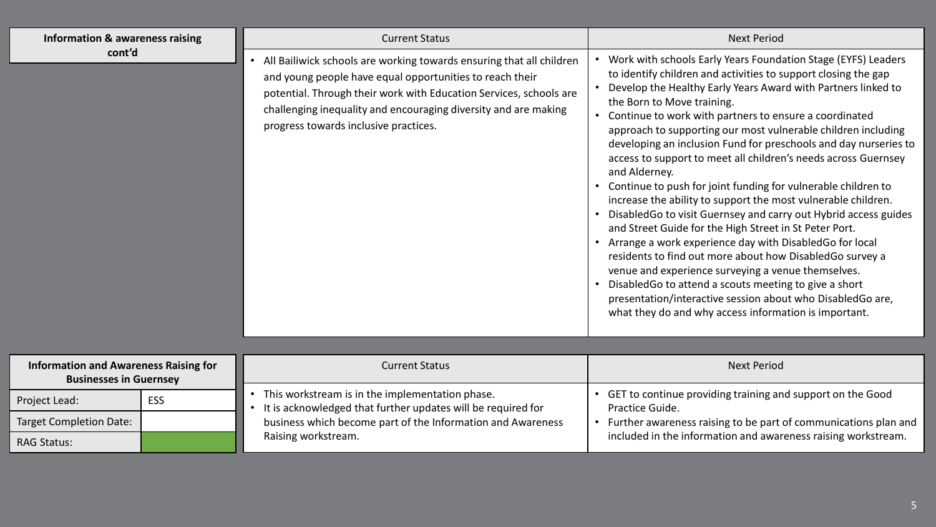| <b>Information &amp; awareness raising</b>                                    | <b>Current Status</b>                                                                                                                                                                                                                                                                                              | <b>Next Period</b>                                                                                                                                                                                                                                                                                                                                                                                                                                                                                                                                                                                                                                                                                                                                                                                                                                                                                                                                                                                                                                                                                                                                         |
|-------------------------------------------------------------------------------|--------------------------------------------------------------------------------------------------------------------------------------------------------------------------------------------------------------------------------------------------------------------------------------------------------------------|------------------------------------------------------------------------------------------------------------------------------------------------------------------------------------------------------------------------------------------------------------------------------------------------------------------------------------------------------------------------------------------------------------------------------------------------------------------------------------------------------------------------------------------------------------------------------------------------------------------------------------------------------------------------------------------------------------------------------------------------------------------------------------------------------------------------------------------------------------------------------------------------------------------------------------------------------------------------------------------------------------------------------------------------------------------------------------------------------------------------------------------------------------|
| cont'd                                                                        | All Bailiwick schools are working towards ensuring that all children<br>and young people have equal opportunities to reach their<br>potential. Through their work with Education Services, schools are<br>challenging inequality and encouraging diversity and are making<br>progress towards inclusive practices. | • Work with schools Early Years Foundation Stage (EYFS) Leaders<br>to identify children and activities to support closing the gap<br>• Develop the Healthy Early Years Award with Partners linked to<br>the Born to Move training.<br>• Continue to work with partners to ensure a coordinated<br>approach to supporting our most vulnerable children including<br>developing an inclusion Fund for preschools and day nurseries to<br>access to support to meet all children's needs across Guernsey<br>and Alderney.<br>• Continue to push for joint funding for vulnerable children to<br>increase the ability to support the most vulnerable children.<br>• DisabledGo to visit Guernsey and carry out Hybrid access guides<br>and Street Guide for the High Street in St Peter Port.<br>• Arrange a work experience day with DisabledGo for local<br>residents to find out more about how DisabledGo survey a<br>venue and experience surveying a venue themselves.<br>• DisabledGo to attend a scouts meeting to give a short<br>presentation/interactive session about who DisabledGo are,<br>what they do and why access information is important. |
|                                                                               |                                                                                                                                                                                                                                                                                                                    |                                                                                                                                                                                                                                                                                                                                                                                                                                                                                                                                                                                                                                                                                                                                                                                                                                                                                                                                                                                                                                                                                                                                                            |
| <b>Information and Awareness Raising for</b><br><b>Businesses in Guernsey</b> | <b>Current Status</b>                                                                                                                                                                                                                                                                                              | <b>Next Period</b>                                                                                                                                                                                                                                                                                                                                                                                                                                                                                                                                                                                                                                                                                                                                                                                                                                                                                                                                                                                                                                                                                                                                         |
| Project Lead:<br><b>ESS</b>                                                   | This workstream is in the implementation phase.<br>It is acknowledged that further updates will be required for                                                                                                                                                                                                    | • GET to continue providing training and support on the Good<br>Practice Guide.                                                                                                                                                                                                                                                                                                                                                                                                                                                                                                                                                                                                                                                                                                                                                                                                                                                                                                                                                                                                                                                                            |
| <b>Target Completion Date:</b>                                                | business which become part of the Information and Awareness                                                                                                                                                                                                                                                        | Further awareness raising to be part of communications plan and                                                                                                                                                                                                                                                                                                                                                                                                                                                                                                                                                                                                                                                                                                                                                                                                                                                                                                                                                                                                                                                                                            |
| <b>RAG Status:</b>                                                            | Raising workstream.                                                                                                                                                                                                                                                                                                | included in the information and awareness raising workstream.                                                                                                                                                                                                                                                                                                                                                                                                                                                                                                                                                                                                                                                                                                                                                                                                                                                                                                                                                                                                                                                                                              |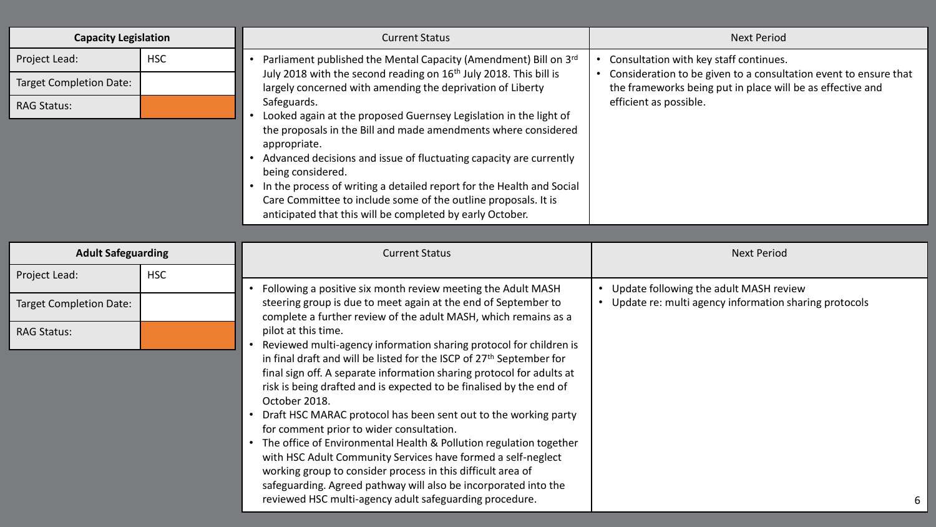| <b>Capacity Legislation</b>                                           |            | <b>Current Status</b>                                                                                                                                                                                                                                                                                                                                                                                                                                                                                                                                                                                                                                                                                 | <b>Next Period</b>                                                                                                                                                                                                           |
|-----------------------------------------------------------------------|------------|-------------------------------------------------------------------------------------------------------------------------------------------------------------------------------------------------------------------------------------------------------------------------------------------------------------------------------------------------------------------------------------------------------------------------------------------------------------------------------------------------------------------------------------------------------------------------------------------------------------------------------------------------------------------------------------------------------|------------------------------------------------------------------------------------------------------------------------------------------------------------------------------------------------------------------------------|
| Project Lead:<br><b>Target Completion Date:</b><br><b>RAG Status:</b> | <b>HSC</b> | Parliament published the Mental Capacity (Amendment) Bill on 3rd<br>July 2018 with the second reading on 16 <sup>th</sup> July 2018. This bill is<br>largely concerned with amending the deprivation of Liberty<br>Safeguards.<br>Looked again at the proposed Guernsey Legislation in the light of<br>the proposals in the Bill and made amendments where considered<br>appropriate.<br>• Advanced decisions and issue of fluctuating capacity are currently<br>being considered.<br>• In the process of writing a detailed report for the Health and Social<br>Care Committee to include some of the outline proposals. It is<br>anticipated that this will be completed by early October.          | Consultation with key staff continues.<br>$\bullet$<br>Consideration to be given to a consultation event to ensure that<br>$\bullet$<br>the frameworks being put in place will be as effective and<br>efficient as possible. |
|                                                                       |            |                                                                                                                                                                                                                                                                                                                                                                                                                                                                                                                                                                                                                                                                                                       |                                                                                                                                                                                                                              |
| <b>Adult Safeguarding</b>                                             |            | <b>Current Status</b>                                                                                                                                                                                                                                                                                                                                                                                                                                                                                                                                                                                                                                                                                 | <b>Next Period</b>                                                                                                                                                                                                           |
| Project Lead:                                                         | <b>HSC</b> |                                                                                                                                                                                                                                                                                                                                                                                                                                                                                                                                                                                                                                                                                                       |                                                                                                                                                                                                                              |
| <b>Target Completion Date:</b>                                        |            | Following a positive six month review meeting the Adult MASH<br>steering group is due to meet again at the end of September to<br>complete a further review of the adult MASH, which remains as a                                                                                                                                                                                                                                                                                                                                                                                                                                                                                                     | Update following the adult MASH review<br>• Update re: multi agency information sharing protocols                                                                                                                            |
| <b>RAG Status:</b>                                                    |            | pilot at this time.<br>Reviewed multi-agency information sharing protocol for children is                                                                                                                                                                                                                                                                                                                                                                                                                                                                                                                                                                                                             |                                                                                                                                                                                                                              |
|                                                                       |            | in final draft and will be listed for the ISCP of 27 <sup>th</sup> September for<br>final sign off. A separate information sharing protocol for adults at<br>risk is being drafted and is expected to be finalised by the end of<br>October 2018.<br>Draft HSC MARAC protocol has been sent out to the working party<br>for comment prior to wider consultation.<br>• The office of Environmental Health & Pollution regulation together<br>with HSC Adult Community Services have formed a self-neglect<br>working group to consider process in this difficult area of<br>safeguarding. Agreed pathway will also be incorporated into the<br>reviewed HSC multi-agency adult safeguarding procedure. |                                                                                                                                                                                                                              |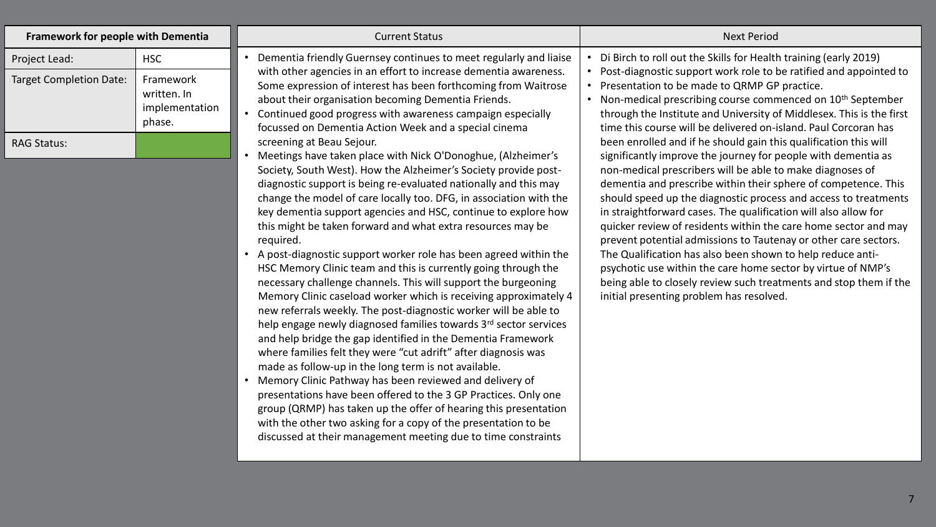| Framework for people with Dementia |                                                      | <b>Current Status</b>                                                                                                                                                                                                                                                                                                                                                                                                                                                                                                                                                                                                                                                                                                                                                                                                                        | <b>Next Period</b>                                                                                                                                                                                                                                                                                                                                                                                                                                                                                                                                                                                                                                                         |
|------------------------------------|------------------------------------------------------|----------------------------------------------------------------------------------------------------------------------------------------------------------------------------------------------------------------------------------------------------------------------------------------------------------------------------------------------------------------------------------------------------------------------------------------------------------------------------------------------------------------------------------------------------------------------------------------------------------------------------------------------------------------------------------------------------------------------------------------------------------------------------------------------------------------------------------------------|----------------------------------------------------------------------------------------------------------------------------------------------------------------------------------------------------------------------------------------------------------------------------------------------------------------------------------------------------------------------------------------------------------------------------------------------------------------------------------------------------------------------------------------------------------------------------------------------------------------------------------------------------------------------------|
| Project Lead:                      | <b>HSC</b>                                           | Dementia friendly Guernsey continues to meet regularly and liaise                                                                                                                                                                                                                                                                                                                                                                                                                                                                                                                                                                                                                                                                                                                                                                            | Di Birch to roll out the Skills for Health training (early 2019)                                                                                                                                                                                                                                                                                                                                                                                                                                                                                                                                                                                                           |
| <b>Target Completion Date:</b>     | Framework<br>written. In<br>implementation<br>phase. | with other agencies in an effort to increase dementia awareness.<br>Some expression of interest has been forthcoming from Waitrose<br>about their organisation becoming Dementia Friends.<br>Continued good progress with awareness campaign especially<br>focussed on Dementia Action Week and a special cinema<br>screening at Beau Sejour.<br>Meetings have taken place with Nick O'Donoghue, (Alzheimer's<br>Society, South West). How the Alzheimer's Society provide post-<br>diagnostic support is being re-evaluated nationally and this may<br>change the model of care locally too. DFG, in association with the<br>key dementia support agencies and HSC, continue to explore how<br>this might be taken forward and what extra resources may be<br>required.<br>A post-diagnostic support worker role has been agreed within the | Post-diagnostic support work role to be ratified and appointed to<br>Presentation to be made to QRMP GP practice.<br>Non-medical prescribing course commenced on 10 <sup>th</sup> September<br>through the Institute and University of Middlesex. This is the first<br>time this course will be delivered on-island. Paul Corcoran has                                                                                                                                                                                                                                                                                                                                     |
| <b>RAG Status:</b>                 |                                                      |                                                                                                                                                                                                                                                                                                                                                                                                                                                                                                                                                                                                                                                                                                                                                                                                                                              | been enrolled and if he should gain this qualification this will<br>significantly improve the journey for people with dementia as<br>non-medical prescribers will be able to make diagnoses of<br>dementia and prescribe within their sphere of competence. This<br>should speed up the diagnostic process and access to treatments<br>in straightforward cases. The qualification will also allow for<br>quicker review of residents within the care home sector and may<br>prevent potential admissions to Tautenay or other care sectors.<br>The Qualification has also been shown to help reduce anti-<br>psychotic use within the care home sector by virtue of NMP's |

necessary challenge channels. This will support the burgeoning Memory Clinic caseload worker which is receiving approximately 4 new referrals weekly. The post-diagnostic worker will be able to help engage newly diagnosed families towards 3rd sector services and help bridge the gap identified in the Dementia Framework where families felt they were "cut adrift" after diagnosis was

presentations have been offered to the 3 GP Practices. Only one group (QRMP) has taken up the offer of hearing this presentation with the other two asking for a copy of the presentation to be discussed at their management meeting due to time constraints

made as follow-up in the long term is not available. • Memory Clinic Pathway has been reviewed and delivery of

psychotic use within the care home sector by virtue of NMP's being able to closely review such treatments and stop them if the initial presenting problem has resolved.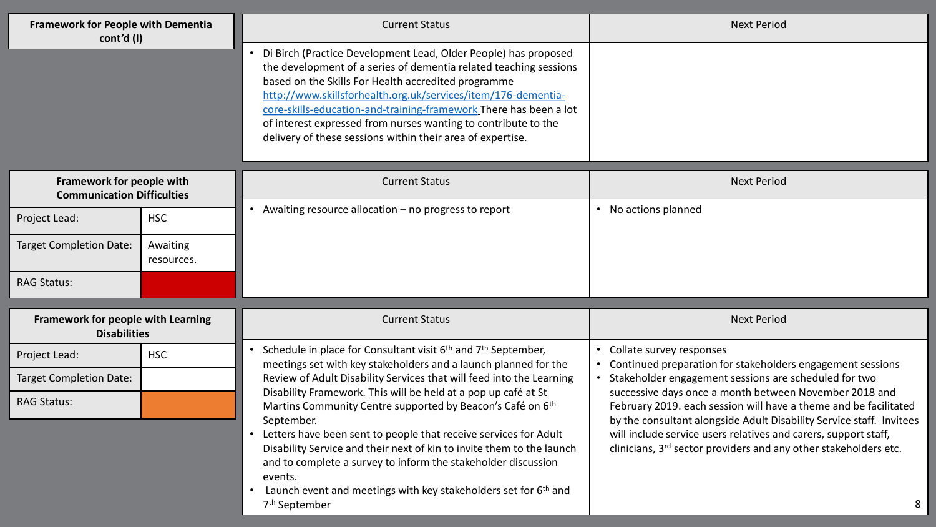|                        | <b>Current Status</b>                                                                                                                                                                                                                                                                                                                                                                                                                                             | <b>Next Period</b>                                                                                                                                                                                                                                                                               |
|------------------------|-------------------------------------------------------------------------------------------------------------------------------------------------------------------------------------------------------------------------------------------------------------------------------------------------------------------------------------------------------------------------------------------------------------------------------------------------------------------|--------------------------------------------------------------------------------------------------------------------------------------------------------------------------------------------------------------------------------------------------------------------------------------------------|
|                        | Di Birch (Practice Development Lead, Older People) has proposed<br>the development of a series of dementia related teaching sessions<br>based on the Skills For Health accredited programme<br>http://www.skillsforhealth.org.uk/services/item/176-dementia-<br>core-skills-education-and-training-framework There has been a lot<br>of interest expressed from nurses wanting to contribute to the<br>delivery of these sessions within their area of expertise. |                                                                                                                                                                                                                                                                                                  |
|                        | <b>Current Status</b>                                                                                                                                                                                                                                                                                                                                                                                                                                             | <b>Next Period</b>                                                                                                                                                                                                                                                                               |
| <b>HSC</b>             |                                                                                                                                                                                                                                                                                                                                                                                                                                                                   | • No actions planned                                                                                                                                                                                                                                                                             |
| Awaiting<br>resources. |                                                                                                                                                                                                                                                                                                                                                                                                                                                                   |                                                                                                                                                                                                                                                                                                  |
|                        |                                                                                                                                                                                                                                                                                                                                                                                                                                                                   |                                                                                                                                                                                                                                                                                                  |
|                        | <b>Current Status</b>                                                                                                                                                                                                                                                                                                                                                                                                                                             | <b>Next Period</b>                                                                                                                                                                                                                                                                               |
| <b>HSC</b>             | Schedule in place for Consultant visit 6 <sup>th</sup> and 7 <sup>th</sup> September,                                                                                                                                                                                                                                                                                                                                                                             | • Collate survey responses<br>• Continued preparation for stakeholders engagement sessions                                                                                                                                                                                                       |
|                        | Review of Adult Disability Services that will feed into the Learning                                                                                                                                                                                                                                                                                                                                                                                              | • Stakeholder engagement sessions are scheduled for two<br>successive days once a month between November 2018 and                                                                                                                                                                                |
|                        | Martins Community Centre supported by Beacon's Café on 6 <sup>th</sup><br>September.<br>Letters have been sent to people that receive services for Adult<br>Disability Service and their next of kin to invite them to the launch<br>and to complete a survey to inform the stakeholder discussion<br>events.<br>Launch event and meetings with key stakeholders set for 6 <sup>th</sup> and                                                                      | February 2019. each session will have a theme and be facilitated<br>by the consultant alongside Adult Disability Service staff. Invitees<br>will include service users relatives and carers, support staff,<br>clinicians, 3 <sup>rd</sup> sector providers and any other stakeholders etc.<br>8 |
|                        | Framework for People with Dementia<br>cont'd (I)<br>Framework for people with<br><b>Communication Difficulties</b><br>Framework for people with Learning<br><b>Disabilities</b>                                                                                                                                                                                                                                                                                   | Awaiting resource allocation - no progress to report<br>meetings set with key stakeholders and a launch planned for the<br>Disability Framework. This will be held at a pop up café at St<br>7 <sup>th</sup> September                                                                           |